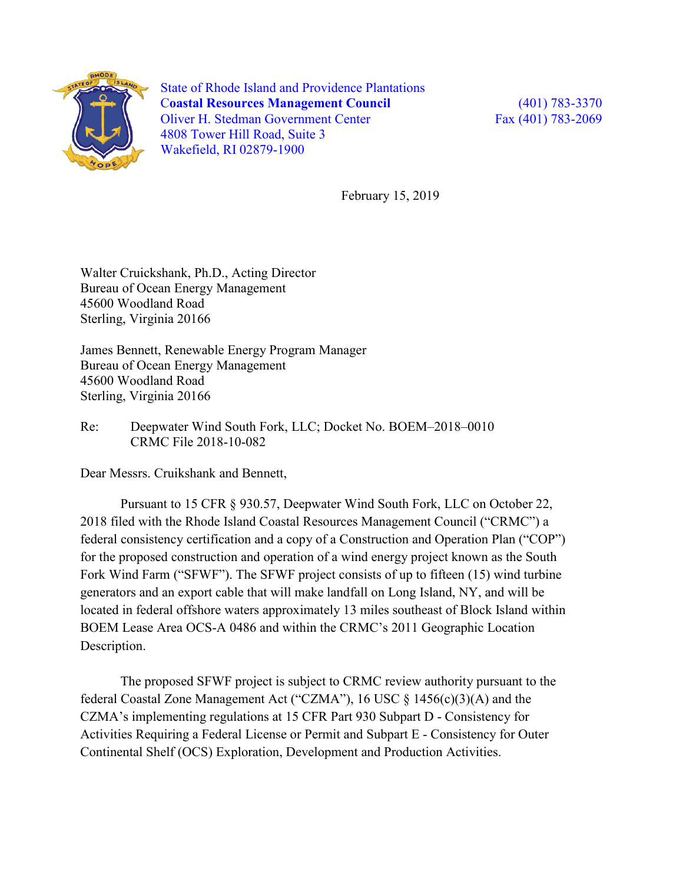

State of Rhode Island and Providence Plantations C**oastal Resources Management Council** (401) 783-3370 Oliver H. Stedman Government Center Fax (401) 783-2069 4808 Tower Hill Road, Suite 3 Wakefield, RI 02879-1900

February 15, 2019

Walter Cruickshank, Ph.D., Acting Director Bureau of Ocean Energy Management 45600 Woodland Road Sterling, Virginia 20166

James Bennett, Renewable Energy Program Manager Bureau of Ocean Energy Management 45600 Woodland Road Sterling, Virginia 20166

Re: Deepwater Wind South Fork, LLC; Docket No. BOEM–2018–0010 CRMC File 2018-10-082

Dear Messrs. Cruikshank and Bennett,

Pursuant to 15 CFR § 930.57, Deepwater Wind South Fork, LLC on October 22, 2018 filed with the Rhode Island Coastal Resources Management Council ("CRMC") a federal consistency certification and a copy of a Construction and Operation Plan ("COP") for the proposed construction and operation of a wind energy project known as the South Fork Wind Farm ("SFWF"). The SFWF project consists of up to fifteen (15) wind turbine generators and an export cable that will make landfall on Long Island, NY, and will be located in federal offshore waters approximately 13 miles southeast of Block Island within BOEM Lease Area OCS-A 0486 and within the CRMC's 2011 Geographic Location Description.

The proposed SFWF project is subject to CRMC review authority pursuant to the federal Coastal Zone Management Act ("CZMA"), 16 USC § 1456(c)(3)(A) and the CZMA's implementing regulations at 15 CFR Part 930 Subpart D - Consistency for Activities Requiring a Federal License or Permit and Subpart E - Consistency for Outer Continental Shelf (OCS) Exploration, Development and Production Activities.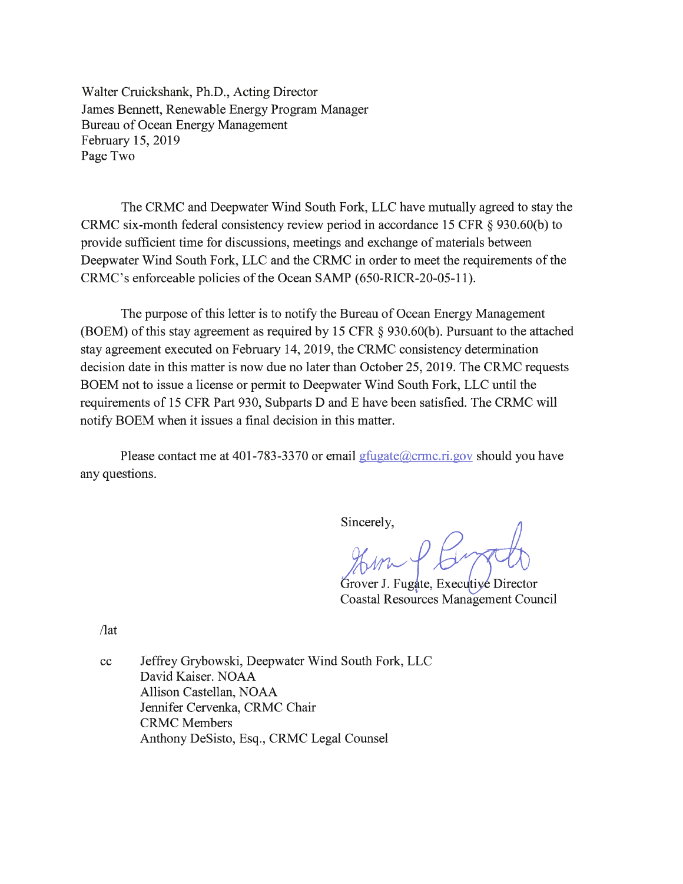Walter Cruickshank, Ph.D., Acting Director James Bennett, Renewable Energy Program Manager Bureau of Ocean Energy Management February 15, 2019 Page Two

The CRMC and Deepwater Wind South Fork, LLC have mutually agreed to stay the CRMC six-month federal consistency review period in accordance 15 CFR  $\S$  930.60(b) to provide sufficient time for discussions, meetings and exchange of materials between Deepwater Wind South Fork, LLC and the CRMC in order to meet the requirements of the CRMC's enforceable policies of the Ocean SAMP (650-RICR-20-05-11).

The purpose of this letter is to notify the Bureau of Ocean Energy Management (BOEM) of this stay agreement as required by 15 CFR § 930.60(b). Pursuant to the attached stay agreement executed on February 14, 2019, the CRMC consistency determination decision date in this matter is now due no later than October 25, 2019. The CRMC requests BOEM not to issue a license or permit to Deepwater Wind South Fork, LLC until the requirements of 15 CFR Part 930, Subparts D and E have been satisfied. The CRMC will notify BOEM when it issues a final decision in this matter.

Please contact me at 401-783-3370 or email  $gfugate(\omega$  crmc.ri.gov should you have any questions.

Sincerely,

Grover J. Fugate, Executive Director **Coastal Resources Management Council** 

 $\int$  /lat

Jeffrey Grybowski, Deepwater Wind South Fork, LLC  $cc$ David Kaiser. NOAA Allison Castellan, NOAA Jennifer Cervenka, CRMC Chair **CRMC** Members Anthony DeSisto, Esq., CRMC Legal Counsel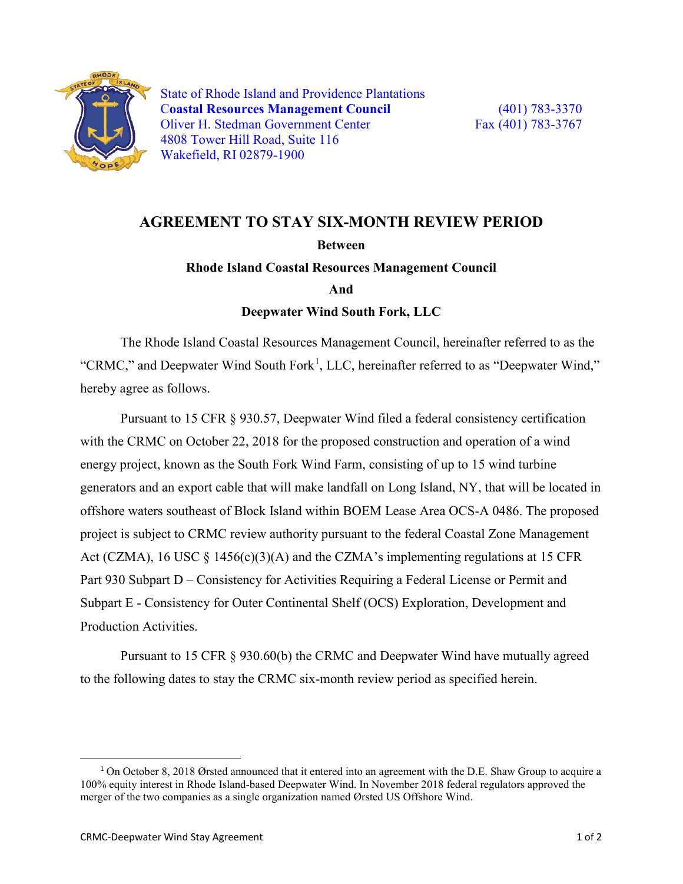

State of Rhode Island and Providence Plantations C**oastal Resources Management Council** (401) 783-3370 Oliver H. Stedman Government Center Fax (401) 783-3767 4808 Tower Hill Road, Suite 116 Wakefield, RI 02879-1900

## **AGREEMENT TO STAY SIX-MONTH REVIEW PERIOD**

## **Between**

## **Rhode Island Coastal Resources Management Council**

**And**

**Deepwater Wind South Fork, LLC**

The Rhode Island Coastal Resources Management Council, hereinafter referred to as the "CRMC," and Deepwater Wind South Fork<sup>[1](#page-2-0)</sup>, LLC, hereinafter referred to as "Deepwater Wind," hereby agree as follows.

Pursuant to 15 CFR § 930.57, Deepwater Wind filed a federal consistency certification with the CRMC on October 22, 2018 for the proposed construction and operation of a wind energy project, known as the South Fork Wind Farm, consisting of up to 15 wind turbine generators and an export cable that will make landfall on Long Island, NY, that will be located in offshore waters southeast of Block Island within BOEM Lease Area OCS-A 0486. The proposed project is subject to CRMC review authority pursuant to the federal Coastal Zone Management Act (CZMA), 16 USC § 1456(c)(3)(A) and the CZMA's implementing regulations at 15 CFR Part 930 Subpart D – Consistency for Activities Requiring a Federal License or Permit and Subpart E - Consistency for Outer Continental Shelf (OCS) Exploration, Development and Production Activities.

Pursuant to 15 CFR § 930.60(b) the CRMC and Deepwater Wind have mutually agreed to the following dates to stay the CRMC six-month review period as specified herein.

<span id="page-2-0"></span> <sup>1</sup> On October 8, 2018 Ørsted announced that it entered into an agreement with the D.E. Shaw Group to acquire a 100% equity interest in Rhode Island-based Deepwater Wind. In November 2018 federal regulators approved the merger of the two companies as a single organization named Ørsted US Offshore Wind.